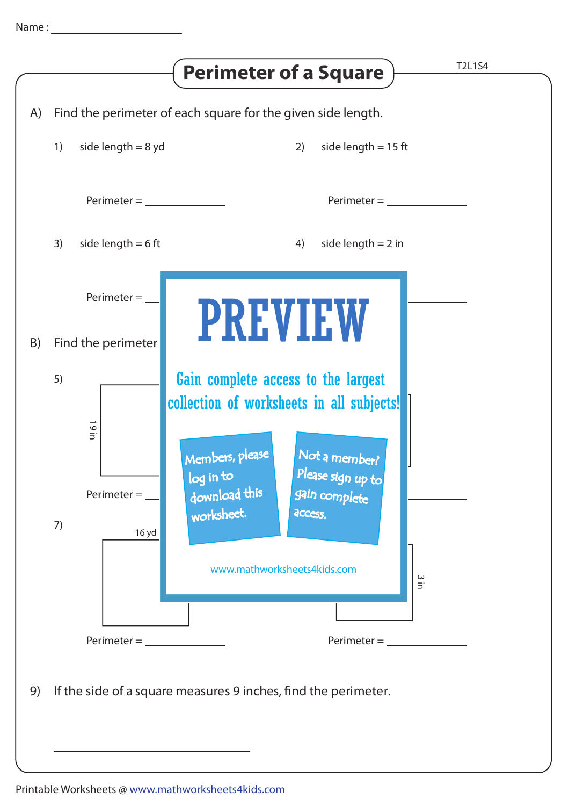